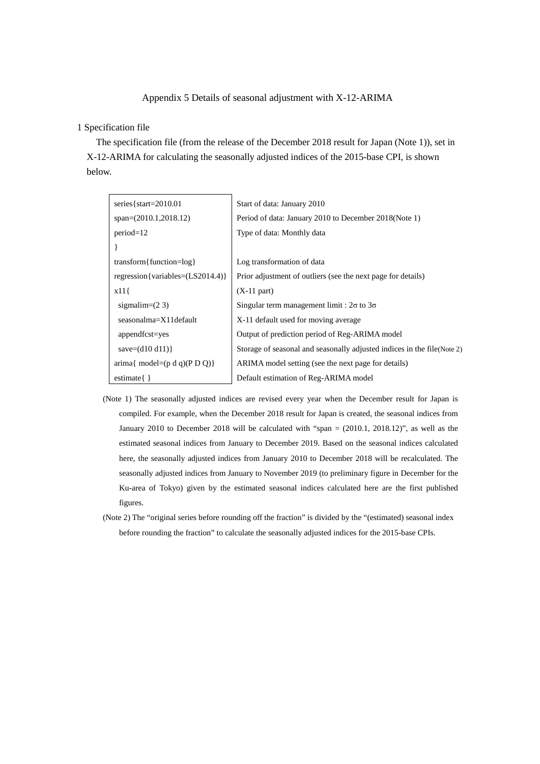## Appendix 5 Details of seasonal adjustment with X-12-ARIMA

## 1 Specification file

The specification file (from the release of the December 2018 result for Japan (Note 1)), set in X-12-ARIMA for calculating the seasonally adjusted indices of the 2015-base CPI, is shown below.

| series { $start=2010.01$                            | Start of data: January 2010                                              |
|-----------------------------------------------------|--------------------------------------------------------------------------|
| $span=(2010.1,2018.12)$                             | Period of data: January 2010 to December 2018 (Note 1)                   |
| $period=12$                                         | Type of data: Monthly data                                               |
|                                                     |                                                                          |
| transform{function= $log$ }                         | Log transformation of data                                               |
| regression {variables= $(LS2014.4)$ }               | Prior adjustment of outliers (see the next page for details)             |
| x11                                                 | $(X-11$ part)                                                            |
| sigmalim= $(2 3)$                                   | Singular term management limit : $2\sigma$ to $3\sigma$                  |
| seasonalma=X11default                               | X-11 default used for moving average                                     |
| appendfcst=yes                                      | Output of prediction period of Reg-ARIMA model                           |
| save= $(d10 d11)$ }                                 | Storage of seasonal and seasonally adjusted indices in the file (Note 2) |
| $\text{arima}\{\text{ model}=(p\ d\ q)(P\ D\ Q)\}\$ | ARIMA model setting (see the next page for details)                      |
| $estimate\{\}$                                      | Default estimation of Reg-ARIMA model                                    |

- (Note 1) The seasonally adjusted indices are revised every year when the December result for Japan is compiled. For example, when the December 2018 result for Japan is created, the seasonal indices from January 2010 to December 2018 will be calculated with "span = (2010.1, 2018.12)", as well as the estimated seasonal indices from January to December 2019. Based on the seasonal indices calculated here, the seasonally adjusted indices from January 2010 to December 2018 will be recalculated. The seasonally adjusted indices from January to November 2019 (to preliminary figure in December for the Ku-area of Tokyo) given by the estimated seasonal indices calculated here are the first published figures.
- (Note 2) The "original series before rounding off the fraction" is divided by the "(estimated) seasonal index before rounding the fraction" to calculate the seasonally adjusted indices for the 2015-base CPIs.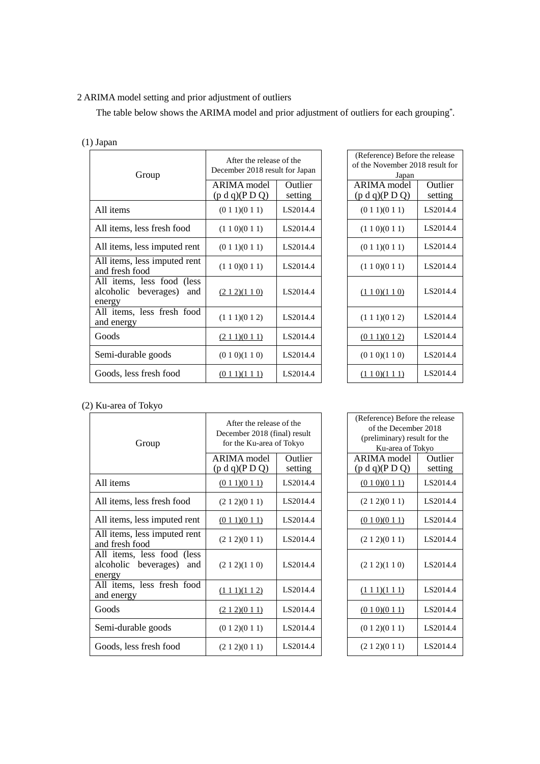## 2 ARIMA model setting and prior adjustment of outliers

The table below shows the ARIMA model and prior adjustment of outliers for each grouping\*.

|  | $(1)$ Japan                                                         |                                                            |                           |                                                                            |                    |
|--|---------------------------------------------------------------------|------------------------------------------------------------|---------------------------|----------------------------------------------------------------------------|--------------------|
|  | Group                                                               | After the release of the<br>December 2018 result for Japan |                           | (Reference) Before the release<br>of the November 2018 result for<br>Japan |                    |
|  |                                                                     | <b>ARIMA</b> model<br>(p d q)(P D Q)                       | <b>Outlier</b><br>setting | ARIMA model<br>(p d q)(P D Q)                                              | Outlier<br>setting |
|  | All items                                                           | (0 1 1)(0 1 1)                                             | LS2014.4                  | (0 1 1)(0 1 1)                                                             | LS2014.4           |
|  | All items, less fresh food                                          | (1 1 0)(0 1 1)                                             | LS2014.4                  | (1 1 0)(0 1 1)                                                             | LS2014.4           |
|  | All items, less imputed rent                                        | (0 1 1)(0 1 1)                                             | LS2014.4                  | (0 1 1)(0 1 1)                                                             | LS2014.4           |
|  | All items, less imputed rent<br>and fresh food                      | (1 1 0)(0 1 1)                                             | LS2014.4                  | (1 1 0)(0 1 1)                                                             | LS2014.4           |
|  | All items, less food (less<br>alcoholic beverages)<br>and<br>energy | (212)(110)                                                 | LS2014.4                  | (110)(110)                                                                 | LS2014.4           |
|  | All items, less fresh food<br>and energy                            | (1 1 1)(0 1 2)                                             | LS2014.4                  | $(1\ 1\ 1)(0\ 1\ 2)$                                                       | LS2014.4           |
|  | Goods                                                               | (211)(011)                                                 | LS2014.4                  | (0 1 1)(0 1 2)                                                             | LS2014.4           |
|  | Semi-durable goods                                                  | (0 1 0)(1 1 0)                                             | LS2014.4                  | (0 1 0)(1 1 0)                                                             | LS2014.4           |
|  | Goods, less fresh food                                              | (0 1 1)(1 1 1)                                             | LS2014.4                  | (1 1 0)(1 1 1)                                                             | LS2014.4           |

| After the release of the<br>ecember 2018 result for Japan |                    | (Reference) Before the release<br>of the November 2018 result for<br>Japan |                    |
|-----------------------------------------------------------|--------------------|----------------------------------------------------------------------------|--------------------|
| RIMA model<br>$d q$ (PDQ)                                 | Outlier<br>setting | ARIMA model<br>(p d q)(P D Q)                                              | Outlier<br>setting |
| (0 1 1)(0 1 1)                                            | LS2014.4           | (0 1 1)(0 1 1)                                                             | LS2014.4           |
| (1 1 0)(0 1 1)                                            | LS2014.4           | (110)(011)                                                                 | LS2014.4           |
| (0 1 1)(0 1 1)                                            | LS2014.4           | (0 1 1)(0 1 1)                                                             | LS2014.4           |
| (1 1 0)(0 1 1)                                            | LS2014.4           | (110)(011)                                                                 | LS2014.4           |
| (212)(110)                                                | LS2014.4           | (110)(110)                                                                 | LS2014.4           |
| (1 1 1)(0 1 2)                                            | LS2014.4           | (1 1 1)(0 1 2)                                                             | LS2014.4           |
| (211)(011)                                                | LS2014.4           | (0 1 1)(0 1 2)                                                             | LS2014.4           |
| (0 1 0)(1 1 0)                                            | LS2014.4           | (0 1 0)(1 1 0)                                                             | LS2014.4           |
| (011)(111)                                                | LS2014.4           | (110)(111)                                                                 | LS2014.4           |

## (2) Ku-area of Tokyo

| Group                                                            | After the release of the<br>December 2018 (final) result<br>for the Ku-area of Tokyo |                    | (Reference) Before the release<br>of the December 2018<br>(preliminary) result for the<br>Ku-area of Tokyo |                    |
|------------------------------------------------------------------|--------------------------------------------------------------------------------------|--------------------|------------------------------------------------------------------------------------------------------------|--------------------|
|                                                                  | <b>ARIMA</b> model<br>(p d q)(P D Q)                                                 | Outlier<br>setting | ARIMA model<br>(p d q)(P D Q)                                                                              | Outlier<br>setting |
| All items                                                        | (011)(011)                                                                           | LS2014.4           | (010)(011)                                                                                                 | LS2014.4           |
| All items, less fresh food                                       | (212)(011)                                                                           | LS2014.4           | (212)(011)                                                                                                 | LS2014.4           |
| All items, less imputed rent                                     | (011)(011)                                                                           | LS2014.4           | (0 1 0)(0 1 1)                                                                                             | LS2014.4           |
| All items, less imputed rent<br>and fresh food                   | (2 1 2)(0 1 1)                                                                       | LS2014.4           | (2 1 2)(0 1 1)                                                                                             | LS2014.4           |
| All items, less food (less<br>alcoholic beverages) and<br>energy | (2 1 2)(1 1 0)                                                                       | LS2014.4           | (212)(110)                                                                                                 | LS2014.4           |
| All items, less fresh food<br>and energy                         | $(1\ 1\ 1)(1\ 1\ 2)$                                                                 | LS2014.4           | $(1\ 1\ 1)(1\ 1\ 1)$                                                                                       | LS2014.4           |
| Goods                                                            | (212)(011)                                                                           | LS2014.4           | (0 1 0)(0 1 1)                                                                                             | LS2014.4           |
| Semi-durable goods                                               | (0 1 2)(0 1 1)                                                                       | LS2014.4           | (0 1 2)(0 1 1)                                                                                             | LS2014.4           |
| Goods, less fresh food                                           | (212)(011)                                                                           | LS2014.4           | (212)(011)                                                                                                 | LS2014.4           |

| After the release of the<br>December 2018 (final) result<br>for the Ku-area of Tokyo |                    | (Reference) Before the release<br>of the December 2018<br>(preliminary) result for the<br>Ku-area of Tokyo |                    |
|--------------------------------------------------------------------------------------|--------------------|------------------------------------------------------------------------------------------------------------|--------------------|
| RIMA model<br>$d q$ $(P D Q)$                                                        | Outlier<br>setting | ARIMA model<br>(p d q)(P D Q)                                                                              | Outlier<br>setting |
| (011)(011)                                                                           | LS2014.4           | (0 1 0)(0 1 1)                                                                                             | LS2014.4           |
| (2 1 2)(0 1 1)                                                                       | LS2014.4           | (2 1 2)(0 1 1)                                                                                             | LS2014.4           |
| (011)(011)                                                                           | LS2014.4           | (010)(011)                                                                                                 | LS2014.4           |
| (2 1 2)(0 1 1)                                                                       | LS2014.4           | (212)(011)                                                                                                 | LS2014.4           |
| (2 1 2)(1 1 0)                                                                       | LS2014.4           | (212)(110)                                                                                                 | LS2014.4           |
| $(1\ 1\ 1)(1\ 1\ 2)$                                                                 | LS2014.4           | $(1\ 1\ 1)(1\ 1\ 1)$                                                                                       | LS2014.4           |
| (212)(011)                                                                           | LS2014.4           | (0 1 0)(0 1 1)                                                                                             | LS2014.4           |
| (0 1 2)(0 1 1)                                                                       | LS2014.4           | (0 1 2)(0 1 1)                                                                                             | LS2014.4           |
| (212)(011)                                                                           | LS2014.4           | (212)(011)                                                                                                 | LS2014.4           |